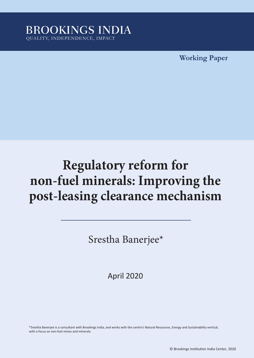

**Working Paper**

# **Regulatory reform for non-fuel minerals: Improving the post-leasing clearance mechanism**

Srestha Banerjee\*

April 2020

\*Srestha Banerjee is a consultant with Brookings India, and works with the centre's Natural Resources, Energy and Sustainability vertical, with a focus on non-fuel mines and minerals.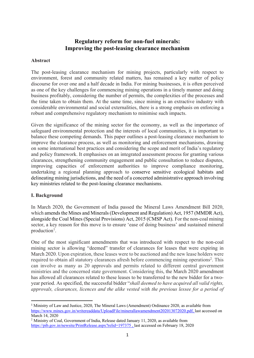#### **Regulatory reform for non-fuel minerals: Improving the post-leasing clearance mechanism**

#### **Abstract**

The post-leasing clearance mechanism for mining projects, particularly with respect to environment, forest and community related matters, has remained a key matter of policy discourse for over one and a half decade in India. For mining businesses, it is often perceived as one of the key challenges for commencing mining operations in a timely manner and doing business profitably, considering the number of permits, the complexities of the processes and the time taken to obtain them. At the same time, since mining is an extractive industry with considerable environmental and social externalities, there is a strong emphasis on enforcing a robust and comprehensive regulatory mechanism to minimise such impacts.

Given the significance of the mining sector for the economy, as well as the importance of safeguard environmental protection and the interests of local communities, it is important to balance these competing demands. This paper outlines a post-leasing clearance mechanism to improve the clearance process, as well as monitoring and enforcement mechanisms, drawing on some international best practices and considering the scope and merit of India's regulatory and policy framework. It emphasises on an integrated assessment process for granting various clearances, strengthening community engagement and public consultation to reduce disputes, improving capacities of enforcement authorities to improve compliance monitoring, undertaking a regional planning approach to conserve sensitive ecological habitats and delineating mining jurisdictions, and the need of a concerted administrative approach involving key ministries related to the post-leasing clearance mechanisms.

#### **I. Background**

In March 2020, the Government of India passed the Mineral Laws Amendment Bill 2020, which amends the Mines and Minerals (Development and Regulation) Act, 1957 (MMDR Act), alongside the Coal Mines (Special Provisions) Act, 2015 (CMSP Act). For the non-coal mining sector, a key reason for this move is to ensure 'ease of doing business' and sustained mineral production<sup>1</sup>.

One of the most significant amendments that was introduced with respect to the non-coal mining sector is allowing "deemed" transfer of clearances for leases that were expiring in March 2020. Upon expiration, these leases were to be auctioned and the new lease holders were required to obtain all statutory clearances afresh before commencing mining operations<sup>2</sup>. This can involve as many as 20 approvals and permits related to different central government ministries and the concerned state government. Considering this, the March 2020 amendment has allowed all clearances related to these leases to be transferred to the new bidder for a twoyear period. As specified, the successful bidder "*shall deemed to have acquired all valid rights, approvals, clearances, licences and the alike vested with the previous lessee for a period of* 

<sup>&</sup>lt;sup>1</sup> Ministry of Law and Justice, 2020, The Mineral Laws (Amendment) Ordinance 2020, as available from https://www.mines.gov.in/writereaddata/UploadFile/minerallawamendment202013072020.pdf, last accessed on March 14, 2020

<sup>&</sup>lt;sup>2</sup> Ministry of Coal, Government of India, Release dated January 11, 2020, as available from https://pib.gov.in/newsite/PrintRelease.aspx?relid=197375 , last accessed on February 18, 2020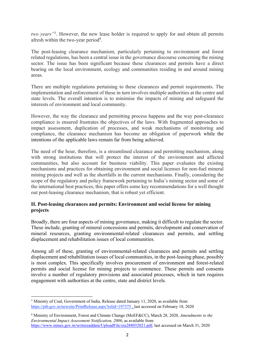*two years"*3. However, the new lease holder is required to apply for and obtain all permits afresh within the two-year period<sup>4</sup>.

The post-leasing clearance mechanism, particularly pertaining to environment and forest related regulations, has been a central issue in the governance discourse concerning the mining sector. The issue has been significant because these clearances and permits have a direct bearing on the local environment, ecology and communities residing in and around mining areas.

There are multiple regulations pertaining to these clearances and permit requirements. The implementation and enforcement of these in turn involves multiple authorities at the centre and state levels. The overall intention is to minimise the impacts of mining and safeguard the interests of environment and local community.

However, the way the clearance and permitting process happens and the way post-clearance compliance is ensured frustrates the objectives of the laws. With fragmented approaches to impact assessment, duplication of processes, and weak mechanisms of monitoring and compliance, the clearance mechanism has become an obligation of paperwork while the intentions of the applicable laws remain far from being achieved.

The need of the hour, therefore, is a streamlined clearance and permitting mechanism, along with strong institutions that will protect the interest of the environment and affected communities, but also account for business viability. This paper evaluates the existing mechanisms and practices for obtaining environment and social licenses for non-fuel mineral mining projects and well as the shortfalls in the current mechanisms. Finally, considering the scope of the regulatory and policy framework pertaining to India's mining sector and some of the international best practices, this paper offers some key recommendations for a well thought out post-leasing clearance mechanism, that is robust yet efficient.

#### **II. Post-leasing clearances and permits: Environment and social license for mining projects**

Broadly, there are four aspects of mining governance, making it difficult to regulate the sector. These include, granting of mineral concessions and permits, development and conservation of mineral resources, granting environmental-related clearances and permits, and settling displacement and rehabilitation issues of local communities.

Among all of these, granting of environmental-related clearances and permits and settling displacement and rehabilitation issues of local communities, in the post-leasing phase, possibly is most complex. This specifically involves procurement of environment and forest-related permits and social license for mining projects to commence. These permits and consents involve a number of regulatory provisions and associated processes, which in turn requires engagement with authorities at the centre, state and district levels.

<sup>&</sup>lt;sup>3</sup> Ministry of Coal, Government of India, Release dated January 11, 2020, as available from https://pib.gov.in/newsite/PrintRelease.aspx?relid=197375 , last accessed on February 18, 2020

<sup>4</sup> Ministry of Environment, Forest and Climate Change (MoEF&CC), March 28, 2020, *Amendments to the Environmental Impact Assessment Notification, 2006*, as available from https://www.mines.gov.in/writereaddata/UploadFile/eia288032021.pdf, last accessed on March 31, 2020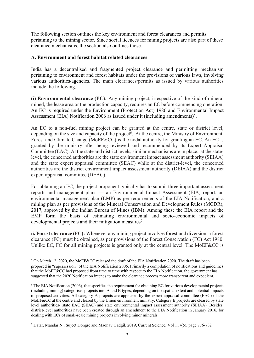The following section outlines the key environment and forest clearances and permits pertaining to the mining sector. Since social licences for mining projects are also part of these clearance mechanisms, the section also outlines those.

#### **A. Environment and forest habitat related clearances**

India has a decentralised and fragmented project clearance and permitting mechanism pertaining to environment and forest habitats under the provisions of various laws, involving various authorities/agencies. The main clearances/permits as issued by various authorities include the following.

**(i) Environmental clearance (EC):** Any mining project, irrespective of the kind of mineral mined, the lease area or the production capacity, requires an EC before commencing operation. An EC is required under the Environment (Protection Act) 1986 and Environmental Impact Assessment (EIA) Notification 2006 as issued under it (including amendments)<sup>5</sup>.

An EC to a non-fuel mining project can be granted at the centre, state or district level, depending on the size and capacity of the project<sup> $6$ </sup>. At the centre, the Ministry of Environment, Forest and Climate Change (MoEF&CC) is the nodal authority for granting an EC. An EC is granted by the ministry after being reviewed and recommended by its Expert Appraisal Committee (EAC). At the state and district levels, similar mechanisms are in place: at the statelevel, the concerned authorities are the state environment impact assessment authority (SEIAA) and the state expert appraisal committee (SEAC) while at the district-level, the concerned authorities are the district environment impact assessment authority (DEIAA) and the district expert appraisal committee (DEAC).

For obtaining an EC, the project proponent typically has to submit three important assessment reports and management plans — an Environmental Impact Assessment (EIA) report; an environmental management plan (EMP) as per requirements of the EIA Notification; and a mining plan as per provisions of the Mineral Conservation and Development Rules (MCDR), 2017, approved by the Indian Bureau of Mines (IBM). Among these the EIA report and the EMP form the basis of estimating environmental and socio-economic impacts of developmental projects and their mitigation measures<sup>7</sup>.

**ii. Forest clearance (FC):** Whenever any mining project involves forestland diversion, a forest clearance (FC) must be obtained, as per provisions of the Forest Conservation (FC) Act 1980. Unlike EC, FC for all mining projects is granted only at the central level. The MoEF&CC is

<sup>5</sup> On March 12, 2020, the MoEF&CC released the draft of the EIA Notification 2020. The draft has been proposed in "supersession" of the EIA Notification 2006. Primarily a compilation of notifications and guidelines that the MoEF&CC had proposed from time to time with respect to the EIA Notification, the government has suggested that the 2020 Notification intends to make the clearance process more transparent and expedient.

<sup>&</sup>lt;sup>6</sup> The EIA Notification (2006), that specifies the requirement for obtaining EC for various developmental projects (including mining) categorises projects into A and B types, depending on the spatial extent and potential impacts of proposed activities. All category A projects are appraised by the expert appraisal committee (EAC) of the MoEF&CC at the centre and cleared by the Union environment ministry. Category B projects are cleared by state level authorities- state EAC (SEAC) and state environmental impact assessment authority (SEIAA). Besides, district-level authorities have been created through an amendment to the EIA Notification in January 2016, for dealing with ECs of small-scale mining projects involving minor minerals.

<sup>7</sup> Datar, Mandar N., Sujeet Dongre and Madhav Gadgil, 2019, Current Science, Vol 117(5), page 776-782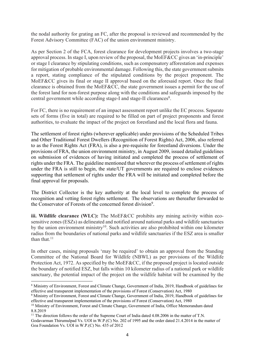the nodal authority for grating an FC, after the proposal is reviewed and recommended by the Forest Advisory Committee (FAC) of the union environment ministry.

As per Section 2 of the FCA, forest clearance for development projects involves a two-stage approval process. In stage I, upon review of the proposal, the MoEF&CC gives an 'in-principle' or stage I clearance by stipulating conditions, such as compensatory afforestation and expenses for mitigation of probable environmental damage. Following this, the state government submits a report, stating compliance of the stipulated conditions by the project proponent. The MoEF&CC gives its final or stage II approval based on the aforesaid report. Once the final clearance is obtained from the MoEF&CC, the state government issues a permit for the use of the forest land for non-forest purpose along with the conditions and safeguards imposed by the central government while according stage-I and stage-II clearances<sup>8</sup>.

For FC, there is no requirement of an impact assessment report unlike the EC process. Separate sets of forms (five in total) are required to be filled on part of project proponents and forest authorities, to evaluate the impact of the project on forestland and the local flora and fauna.

The settlement of forest rights (wherever applicable) under provisions of the Scheduled Tribes and Other Traditional Forest Dwellers (Recognition of Forest Rights) Act, 2006, also referred to as the Forest Rights Act (FRA), is also a pre-requisite for forestland diversions. Under the provisions of FRA, the union environment ministry, in August 2009, issued detailed guidelines on submission of evidences of having initiated and completed the process of settlement of rights under the FRA. The guideline mentioned that wherever the process of settlement of rights under the FRA is still to begin, the state/UT governments are required to enclose evidences supporting that settlement of rights under the FRA will be initiated and completed before the final approval for proposals.

The District Collector is the key authority at the local level to complete the process of recognition and vetting forest rights settlement. The observations are thereafter forwarded to the Conservator of Forests of the concerned forest division<sup>9</sup>.

**iii. Wildlife clearance (WLC):** The MoEF&CC prohibits any mining activity within ecosensitive zones (ESZs) as delineated and notified around national parks and wildlife sanctuaries by the union environment ministry<sup>10</sup>. Such activities are also prohibited within one kilometer radius from the boundaries of national parks and wildlife sanctuaries if the ESZ area is smaller than that. $11$ 

In other cases, mining proposals 'may be required' to obtain an approval from the Standing Committee of the National Board for Wildlife (NBWL) as per provisions of the Wildlife Protection Act, 1972. As specified by the MoEF&CC, if the proposed project is located outside the boundary of notified ESZ, but falls within 10 kilometer radius of a national park or wildlife sanctuary, the potential impact of the project on the wildlife habitat will be examined by the

<sup>11</sup> The direction follows the order of the Supreme Court of India dated 4.08.2006 in the matter of T.N.

<sup>8</sup> Ministry of Environment, Forest and Climate Change, Government of India, 2019, Handbook of guidelines for effective and transparent implementation of the provisions of Forest (Conservation) Act, 1980

<sup>9</sup> Ministry of Environment, Forest and Climate Change, Government of India, 2019, Handbook of guidelines for effective and transparent implementation of the provisions of Forest (Conservation) Act, 1980

<sup>&</sup>lt;sup>10</sup> Ministry of Environment, Forest and Climate Change, Government of India, Office Memorandum dated 8.8.2019

Godavarman Thirumulpad Vs. UOI in W.P.(C) No. 202 of 1995 and the order dated 21.4.2014 in the matter of Goa Foundation Vs. UOI in W.P.(C) No. 435 of 2012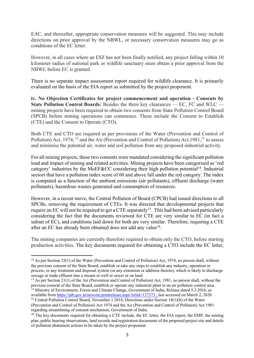EAC, and thereafter, appropriate conservation measures will be suggested. This may include directions on prior approval by the NBWL, or necessary conservation measures may go as conditions of the EC letter.

However, in all cases where an ESZ has not been finally notified, any project falling within 10 kilometer radius of national park or wildlife sanctuary must obtain a prior approval from the NBWL before EC is granted.

There is no separate impact assessment report required for wildlife clearance. It is primarily evaluated on the basis of the EIA report as submitted by the project proponent.

**iv. No Objection Certificates for project commencement and operation - Consents by State Pollution Control Boards:** Besides the three key clearances — EC, FC and WLC mining projects have been required to obtain two consents from State Pollution Control Board (SPCB) before mining operations can commence. These include the Consent to Establish (CTE) and the Consent to Operate (CTO).

Both CTE and CTO are required as per provisions of the Water (Prevention and Control of Pollution) Act, 1974, <sup>12</sup> and the Air (Prevention and Control of Pollution) Act, 1981, <sup>13</sup> to assess and minimise the potential air, water and soil pollution from any proposed industrial activity.

For all mining projects, these two consents were mandated considering the significant pollution load and impact of mining and related activities. Mining projects have been categorised as 'red category' industries by the MoEF&CC considering their high pollution potential<sup>14</sup>. Industrial sectors that have a pollution index score of 60 and above fall under the red category. The index is computed as a function of the ambient emissions (air pollutants), effluent discharge (water pollutants), hazardous wastes generated and consumption of resources.

However, in a recent move, the Central Pollution of Board (CPCB) had issued directions to all SPCBs, removing the requirement of CTEs. It was directed that developmental projects that require an EC will not be required to get a CTE separately<sup>15</sup>. This had been advised particularly considering the fact that the documents reviewed for CTE are very similar to EC (in fact a subset of EC), and conditions laid down for both are very similar. Therefore, requiring a CTE after an EC has already been obtained does not add any value<sup>16</sup>.

The mining companies are currently therefore required to obtain only the CTO, before starting production activities. The key documents required for obtaining a CTO include the EC letter,

available from https://pib.gov.in/newsite/printrelease.aspx?relid=137373 , last accessed on March 2, 2020 <sup>15</sup> Central Pollution Control Board, November 1 2018, Directions under Section 18(1)(b) of the Water

<sup>&</sup>lt;sup>12</sup> As per Section 25(1) of the Water (Prevention and Control of Pollution) Act, 1974, no person shall, without the previous consent of the State Board, establish or take any steps to establish any industry, operation or process, or any treatment and disposal system (or any extension or addition thereto), which is likely to discharge sewage or trade effluent into a stream or well or sewer or on land.

<sup>&</sup>lt;sup>13</sup> As per Section 21(1) of the Air (Prevention and Control of Pollution) Act, 1981, no person shall, without the previous consent of the State Board, establish or operate any industrial plant in an air pollution control area. <sup>14</sup> Ministry of Environment, Forest and Climate Change, Government of India, Release dated 5.3.2016, as

<sup>(</sup>Prevention and Control of Pollution) Act 1974 and the Air (Prevention and Control of Pollution) Act 1981 regarding streamlining of consent mechanism, Government of India.

<sup>&</sup>lt;sup>16</sup> The key documents required for obtaining a CTE include, the EC letter, the EIA report, the EMP, the mining plan, public hearing observations, land records and registration documents of the proposed project site and details of pollution abatement actions to be taken by the project proponent.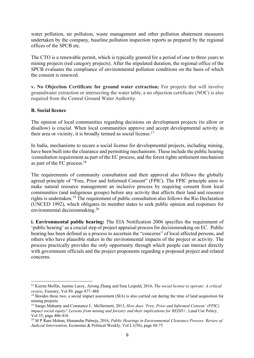water pollution, air pollution, waste management and other pollution abatement measures undertaken by the company, baseline pollution inspection reports as prepared by the regional offices of the SPCB etc.

The CTO is a renewable permit, which is typically granted for a period of one to three years to mining projects (red category projects). After the stipulated duration, the regional office of the SPCB evaluates the compliance of environmental pollution conditions on the basis of which the consent is renewed.

**v. No Objection Certificate for ground water extraction:** For projects that will involve groundwater extraction or intersecting the water table, a no objection certificate (NOC) is also required from the Central Ground Water Authority.

#### **B. Social licence**

The opinion of local communities regarding decisions on development projects (to allow or disallow) is crucial. When local communities approve and accept developmental activity in their area or vicinity, it is broadly termed as social license.<sup>17</sup>

In India, mechanisms to secure a social license for developmental projects, including mining, have been built into the clearance and permitting mechanisms. These include the public hearing /consultation requirement as part of the EC process, and the forest rights settlement mechanism as part of the FC process.18

The requirements of community consultation and their approval also follows the globally agreed principle of "Free, Prior and Informed Consent" (FPIC). The FPIC principle aims to make natural resource management an inclusive process by requiring consent from local communities (and indigenous groups) before any activity that affects their land and resource rights is undertaken.19 The requirement of public consultation also follows the Rio Declaration (UNCED 1992), which obligates its member states to seek public opinion and responses for environmental decisionmaking.<sup>20</sup>

**i. Environmental public hearing:** The EIA Notification 2006 specifies the requirement of 'public hearing' as a crucial step of project appraisal process for decisionmaking on EC. Public hearing has been defined as a process to ascertain the "concerns" of local affected persons, and others who have plausible stakes in the environmental impacts of the project or activity. The process practically provides the only opportunity through which people can interact directly with government officials and the project proponents regarding a proposed project and related concerns.

<sup>17</sup> Kieren Moffat, Justine Lacey, Airong Zhang and Sina Leipold, 2016, *The social license to operate: A critical review*, Forestry, Vol 89, page 477–488

<sup>&</sup>lt;sup>18</sup> Besides these two, a social impact assessment (SIA) is also carried out during the time of land acquisition for mining projects.

<sup>19</sup> Sango Mahanty and Constance L. McDermott, 2013, *How does 'Free, Prior and Informed Consent' (FPIC) impact social equity? Lessons from mining and forestry and their implications for REDD+, Land Use Policy,* Vol 35, page 406-416

<sup>20</sup> M P Ram Mohan, Himanshu Pabreja, 2016, *Public Hearings in Environmental Clearance Process: Review of Judicial Intervention*, Economic & Political Weekly, Vol L1(50), page 68-75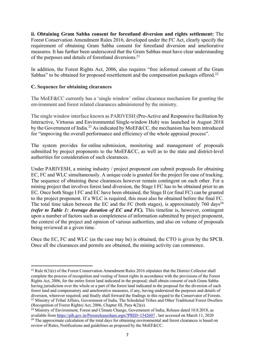**ii. Obtaining Gram Sabha consent for forestland diversion and rights settlement:** The Forest Conservation Amendment Rules 2016, developed under the FC Act, clearly specify the requirement of obtaining Gram Sabha consent for forestland diversion and ameliorative measures. It has further been underscored that the Gram Sabhas must have clear understanding of the purposes and details of forestland diversions.<sup>21</sup>

In addition, the Forest Rights Act, 2006, also requires "free informed consent of the Gram Sabhas" to be obtained for proposed resettlement and the compensation packages offered.<sup>22</sup>

#### **C. Sequence for obtaining clearances**

The MoEF&CC currently has a 'single window' online clearance mechanism for granting the environment and forest related clearances administered by the ministry.

The single window interface known as PARIVESH (Pro-Active and Responsive facilitation by Interactive, Virtuous and Environmental Single-window Hub) was launched in August 2018 by the Government of India.23 As indicated by MoEF&CC, the mechanism has been introduced for "improving the overall performance and efficiency of the whole appraisal process".

The system provides for online submission, monitoring and management of proposals submitted by project proponents to the MoEF&CC, as well as to the state and district-level authorities for consideration of such clearances.

Under PARIVESH, a mining industry / project proponent can submit proposals for obtaining EC, FC and WLC simultaneously. A unique code is granted for the project for ease of tracking. The sequence of obtaining these clearances however remain contingent on each other. For a mining project that involves forest land diversion, the Stage I FC has to be obtained prior to an EC. Once both Stage I FC and EC have been obtained, the Stage II (or final FC) can be granted to the project proponent. If a WLC is required, this must also be obtained before the final FC. The total time taken between the EC and the FC (both stages), is approximately  $760 \text{ days}^{24}$ *(refer to Table 1: Average duration of EC and FC).* This timeline is, however, contingent upon a number of factors such as completeness of information submitted by project proponent, the context of the project and opinion of various authorities, and also on volume of proposals being reviewed at a given time.

Once the EC, FC and WLC (as the case may be) is obtained, the CTO is given by the SPCB. Once all the clearances and permits are obtained, the mining activity can commence.

<sup>&</sup>lt;sup>21</sup> Rule  $6(3)(e)$  of the Forest Conservation Amendment Rules 2016 stipulates that the District Collector shall complete the process of recognition and vesting of forest rights in accordance with the provisions of the Forest Rights Act, 2006, for the entire forest land indicated in the proposal; shall obtain consent of each Gram Sabha having jurisdiction over the whole or a part of the forest land indicated in the proposal for the diversion of such forest land and compensatory and ameliorative measures, if any, having understood the purposes and details of diversion, wherever required; and finally shall forward the findings in this regard to the Conservator of Forests. <sup>22</sup> Ministry of Tribal Affairs, Government of India, The Scheduled Tribes and Other Traditional Forest Dwellers (Recognition of Forest Rights) Act, 2006, Chapter III, Para 4(2)(e).

<sup>&</sup>lt;sup>23</sup> Ministry of Environment, Forest and Climate Change, Government of India, Release dated 10.8.2018, as available from https://pib.gov.in/Pressreleaseshare.aspx?PRID=1542607 , last accessed on March 11, 2020 <sup>24</sup> The approximate calculation of the total days for obtaining environmental and forest clearances is based on review of Rules, Notifications and guidelines as proposed by the MoEF&CC.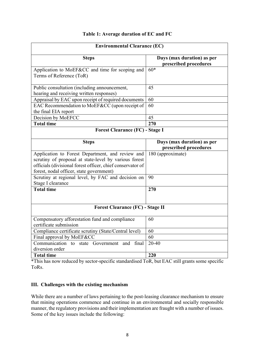#### **Table 1: Average duration of EC and FC**

| <b>Environmental Clearance (EC)</b>                                                                                                                                                                                 |                                                     |  |  |  |  |  |
|---------------------------------------------------------------------------------------------------------------------------------------------------------------------------------------------------------------------|-----------------------------------------------------|--|--|--|--|--|
| <b>Steps</b>                                                                                                                                                                                                        | Days (max duration) as per<br>prescribed procedures |  |  |  |  |  |
| Application to MoEF&CC and time for scoping and<br>Terms of Reference (ToR)                                                                                                                                         | $60*$                                               |  |  |  |  |  |
| Public consultation (including announcement,<br>hearing and receiving written responses)                                                                                                                            | 45                                                  |  |  |  |  |  |
| Appraisal by EAC upon receipt of required documents                                                                                                                                                                 | 60                                                  |  |  |  |  |  |
| EAC Recommendation to MoEF&CC (upon receipt of<br>the final EIA report                                                                                                                                              | 60                                                  |  |  |  |  |  |
| Decision by MoEFCC                                                                                                                                                                                                  | 45                                                  |  |  |  |  |  |
| <b>Total time</b>                                                                                                                                                                                                   | 270                                                 |  |  |  |  |  |
| <b>Forest Clearance (FC) - Stage I</b>                                                                                                                                                                              |                                                     |  |  |  |  |  |
| <b>Steps</b>                                                                                                                                                                                                        | Days (max duration) as per<br>prescribed procedures |  |  |  |  |  |
| Application to Forest Department, and review and<br>scrutiny of proposal at state-level by various forest<br>officials (divisional forest officer, chief conservator of<br>forest, nodal officer, state government) | $\overline{180}$ (approximate)                      |  |  |  |  |  |
| Scrutiny at regional level, by FAC and decision on<br>Stage I clearance                                                                                                                                             | 90                                                  |  |  |  |  |  |
| <b>Total time</b>                                                                                                                                                                                                   | 270                                                 |  |  |  |  |  |
| <b>Forest Clearance (FC) - Stage II</b>                                                                                                                                                                             |                                                     |  |  |  |  |  |
| Compensatory afforestation fund and compliance<br>certificate submission                                                                                                                                            | 60                                                  |  |  |  |  |  |
| Compliance certificate scrutiny (State/Central level)                                                                                                                                                               | 60                                                  |  |  |  |  |  |
| Final approval by MoEF&CC                                                                                                                                                                                           | 60                                                  |  |  |  |  |  |
| Communication to state Government and<br>final<br>diversion order                                                                                                                                                   | $20 - 40$                                           |  |  |  |  |  |
| <b>Total time</b>                                                                                                                                                                                                   | 220                                                 |  |  |  |  |  |

\*This has now reduced by sector-specific standardised ToR, but EAC still grants some specific ToRs.

#### **III. Challenges with the existing mechanism**

While there are a number of laws pertaining to the post-leasing clearance mechanism to ensure that mining operations commence and continue in an environmental and socially responsible manner, the regulatory provisions and their implementation are fraught with a number of issues. Some of the key issues include the following: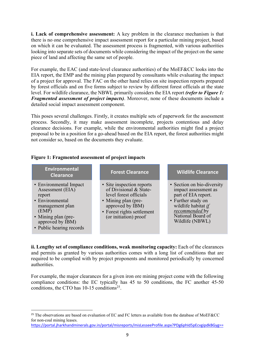**i. Lack of comprehensive assessment:** A key problem in the clearance mechanism is that there is no one comprehensive impact assessment report for a particular mining project, based on which it can be evaluated. The assessment process is fragmented, with various authorities looking into separate sets of documents while considering the impact of the project on the same piece of land and affecting the same set of people.

For example, the EAC (and state-level clearance authorities) of the MoEF&CC looks into the EIA report, the EMP and the mining plan prepared by consultants while evaluating the impact of a project for approval. The FAC on the other hand relies on site inspection reports prepared by forest officials and on five forms subject to review by different forest officials at the state level. For wildlife clearance, the NBWL primarily considers the EIA report *(refer to Figure 1: Fragmented assessment of project impacts)*. Moreover, none of these documents include a detailed social impact assessment component.

This poses several challenges. Firstly, it creates multiple sets of paperwork for the assessment process. Secondly, it may make assessment incomplete, projects contentious and delay clearance decisions. For example, while the environmental authorities might find a project proposal to be in a position for a go-ahead based on the EIA report, the forest authorities might not consider so, based on the documents they evaluate.

#### **Figure 1: Fragmented assessment of project impacts**

| <b>Environmental</b><br><b>Clearance</b>                                                                                                                                   | <b>Forest Clearance</b>                                                                                                                                                         | <b>Wildlife Clearance</b>                                                                                                                                                        |
|----------------------------------------------------------------------------------------------------------------------------------------------------------------------------|---------------------------------------------------------------------------------------------------------------------------------------------------------------------------------|----------------------------------------------------------------------------------------------------------------------------------------------------------------------------------|
| • Environmental Impact<br>Assessment (EIA)<br>report<br>• Environmental<br>management plan<br>(EMP)<br>• Mining plan (pre-<br>approved by IBM)<br>• Public hearing records | • Site inspection reports<br>of Divisional & State-<br>level forest officials<br>• Mining plan (pre-<br>approved by IBM)<br>• Forest rights settlement<br>(or initiation) proof | • Section on bio-diversity<br>impact assessment as<br>part of EIA report.<br>• Further study on<br>wildlife habitat if<br>recommended by<br>National Board of<br>Wildlife (NBWL) |

**ii. Lengthy set of compliance conditions, weak monitoring capacity:** Each of the clearances and permits as granted by various authorities comes with a long list of conditions that are required to be complied with by project proponents and monitored periodically by concerned authorities.

For example, the major clearances for a given iron ore mining project come with the following compliance conditions: the EC typically has 45 to 50 conditions, the FC another 45-50 conditions, the CTO has  $10-15$  conditions<sup>25</sup>.

<sup>&</sup>lt;sup>25</sup> The observations are based on evaluation of EC and FC letters as available from the database of MoEF&CC for non-coal mining leases.

https://portal.jharkhandminerals.gov.in/portal/misreports/misLesseeProfile.aspx?PDg6phId5pEcvgipdkBGyg==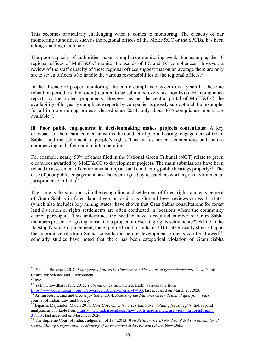This becomes particularly challenging when it comes to monitoring. The capacity of our monitoring authorities, such as the regional offices of the MoEF&CC or the SPCBs, has been a long-standing challenge.

The poor capacity of authorities makes compliance monitoring weak. For example, the 10 regional offices of MoEF&CC monitor thousands of EC and FC compliances. However, a review of the staff capacity of these regional offices suggest that on an average there are only six to seven officers who handle the various responsibilities of the regional offices.<sup>26</sup>

In the absence of proper monitoring, the entire compliance system over years has become reliant on periodic submission (required to be submitted every six months) of EC compliance reports by the project proponents. However, as per the central portal of MoEF&CC, the availability of bi-yearly compliance reports by companies is grossly sub-optimal. For example, for all iron-ore mining projects cleared since 2014, only about 30% compliance reports are available27.

**iii. Poor public engagement in decisionmaking makes projects contentious:** A key drawback of the clearance mechanism is the conduct of public hearing, engagement of Gram Sabhas and the settlement of people's rights. This makes projects contentious both before commencing and after coming into operation.

For example, nearly 50% of cases filed in the National Green Tribunal (NGT) relate to green clearances awarded by MoEF&CC to development projects. The main submissions have been related to assessment of environmental impacts and conducting public hearings properly<sup>28</sup>. The case of poor public engagement has also been argued by researchers working on environmental jurisprudence in India29.

The same is the situation with the recognition and settlement of forest rights and engagement of Gram Sabhas in forest land diversion decisions. Ground level reviews across 11 states (which also includes key mining states) have shown that Gran Sabha consultations for forest land diversion or rights settlements are often conducted in locations where the community cannot participate. This undermines the need to have a required number of Gram Sabha members present for giving consent to a project or observing rights settlements<sup>30</sup>. While in the flagship Niyamgiri judgement, the Supreme Court of India in 2013 categorically stressed upon the importance of Gram Sabha consultation before development projects can be allowed<sup>31</sup>, scholarly studies have noted that there has been categorical violation of Gram Sabha

<sup>26</sup> Srestha Banerjee, 2018, *Four years of the NDA Government: The status of green clearances*. New Delhi: Centre for Science and Environment.

 $27$  ibid

<sup>28</sup> Yukti Chowdhary, June 2015, *Tribunal on Trial*, Down to Earth, as available from

https://www.downtoearth.org.in/coverage/tribunal-on-trial-47400, last accessed on March 23, 2020 <sup>29</sup> Armin Rosencranz and Geetanjoy Sahu, 2014, *Assessing the National Green Tribunal after four years*, Journal of Indian Law and Society

<sup>30</sup> Bipasha Majumder, March 2018, *How Governments across India are violating forest rights*, IndiaSpend analysis, as available from https://www.indiaspend.com/how-govts-across-india-are-violating-forest-rights-31750/, last accessed on March 23, 2020

<sup>&</sup>lt;sup>31</sup> The Supreme Court of India, Judgement of 18.4.2013, *Writ Petition (Civil) No. 180 of 2011 in the matter of Orissa Mining Corporation vs. Ministry of Environment & Forest and others,* New Delhi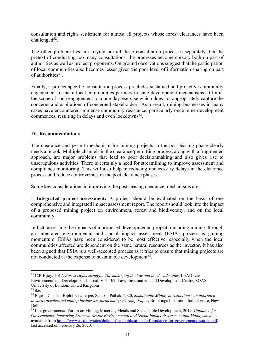consultation and rights settlement for almost all projects whose forest clearances have been challenged $32$ .

The other problem lies in carrying out all these consultation processes separately. On the pretext of conducting too many consultations, the processes become cursory both on part of authorities as well as project proponents. On ground observations suggest that the participation of local communities also becomes lesser given the poor level of information sharing on part of authorities<sup>33</sup>.

Finally, a project specific consultation process precludes sustained and proactive community engagement to make local communities partners in state development mechanisms. It limits the scope of such engagement to a one-day exercise which does not appropriately capture the concerns and aspirations of concerned stakeholders. As a result, mining businesses in many cases have encountered immense community resistance, particularly once mine development commences, resulting in delays and even lockdowns<sup>34</sup>.

#### **IV. Recommendations**

The clearance and permit mechanism for mining projects in the post-leasing phase clearly needs a relook. Multiple channels in the clearance/permitting process, along with a fragmented approach, are major problems that lead to poor decisionmaking and also gives rise to unscrupulous activities. There is certainly a need for streamlining to improve assessment and compliance monitoring. This will also help in reducing unnecessary delays in the clearance process and reduce controversies in the post clearance phases.

Some key considerations in improving the post-leasing clearance mechanisms are:

i. **Integrated project assessment:** A project should be evaluated on the basis of one comprehensive and integrated impact assessment report. The report should look into the impact of a proposed mining project on environment, forest and biodiversity, and on the local community.

In fact, assessing the impacts of a proposed developmental project, including mining, through an integrated environmental and social impact assessment (ESIA) process is gaining momentum. ESIAs have been considered to be most effective, especially when the local communities affected are dependent on the same natural resources as the investor. It has also been argued that ESIA is a well-accepted process as it tries to ensure that mining projects are not conducted at the expense of sustainable development<sup>35</sup>.

<sup>32</sup> C.R Bijoy, 2017, *Forest rights struggle: The making of the law and the decade after*, LEAD Law Environment and Development Journal, Vol 13/2, Law, Environment and Development Centre, SOAS University of London, United Kingdom

<sup>33</sup> ibid

<sup>34</sup> Rajesh Chadha, Biplob Chatterjee, Santosh Pathak, 2020, *Sustainable Mining Jurisdictions: An approach towards accelerated mining businesses, forthcoming Working Paper*, Brookings Institution India Centre, New Delhi

<sup>35</sup> Intergovernmental Forum on Mining, Minerals, Metals and Sustainable Development, 2019, *Guidance for Governments: Improving Frameworks for Environmental and Social Impact Assessment and Management*, as available from https://www.iisd.org/sites/default/files/publications/igf-guidance-for-governments-esia-en.pdf, last accessed on February 26, 2020.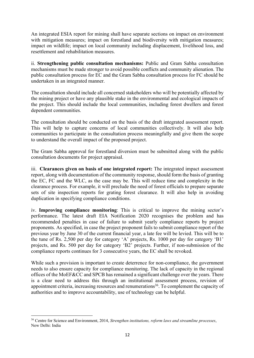An integrated ESIA report for mining shall have separate sections on impact on environment with mitigation measures; impact on forestland and biodiversity with mitigation measures; impact on wildlife; impact on local community including displacement, livelihood loss, and resettlement and rehabilitation measures.

ii. **Strengthening public consultation mechanisms:** Public and Gram Sabha consultation mechanisms must be made stronger to avoid possible conflicts and community alienation. The public consultation process for EC and the Gram Sabha consultation process for FC should be undertaken in an integrated manner.

The consultation should include all concerned stakeholders who will be potentially affected by the mining project or have any plausible stake in the environmental and ecological impacts of the project. This should include the local communities, including forest dwellers and forest dependent communities.

The consultation should be conducted on the basis of the draft integrated assessment report. This will help to capture concerns of local communities collectively. It will also help communities to participate in the consultation process meaningfully and give them the scope to understand the overall impact of the proposed project.

The Gram Sabha approval for forestland diversion must be submitted along with the public consultation documents for project appraisal.

iii. **Clearances given on basis of one integrated report:** The integrated impact assessment report, along with documentation of the community response, should form the basis of granting the EC, FC and the WLC, as the case may be. This will reduce time and complexity in the clearance process. For example, it will preclude the need of forest officials to prepare separate sets of site inspection reports for grating forest clearance. It will also help in avoiding duplication in specifying compliance conditions.

iv. **Improving compliance monitoring**: This is critical to improve the mining sector's performance. The latest draft EIA Notification 2020 recognises the problem and has recommended penalties in case of failure to submit yearly compliance reports by project proponents. As specified, in case the project proponent fails to submit compliance report of the previous year by June 30 of the current financial year, a late fee will be levied. This will be to the tune of Rs. 2,500 per day for category 'A' projects, Rs. 1000 per day for category 'B1' projects, and Rs. 500 per day for category 'B2' projects. Further, if non-submission of the compliance reports continues for 3 consecutive years, the EC shall be revoked.

While such a provision is important to create deterrence for non-compliance, the government needs to also ensure capacity for compliance monitoring. The lack of capacity in the regional offices of the MoEF&CC and SPCB has remained a significant challenge over the years. There is a clear need to address this through an institutional assessment process, revision of appointment criteria, increasing resources and renumerations<sup>36</sup>. To complement the capacity of authorities and to improve accountability, use of technology can be helpful.

<sup>36</sup> Centre for Science and Environment, 2014, *Strengthen institutions, reform laws and streamline processes*, New Delhi: India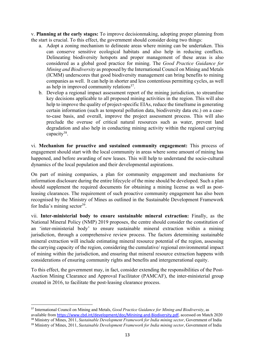v. **Planning at the early stages:** To improve decisionmaking, adopting proper planning from the start is crucial. To this effect, the government should consider doing two things:

- a. Adopt a zoning mechanism to delineate areas where mining can be undertaken. This can conserve sensitive ecological habitats and also help in reducing conflicts. Delineating biodiversity hotspots and proper management of these areas is also considered as a global good practice for mining. The *Good Practice Guidance for Mining and Biodiversity* as proposed by the International Council on Mining and Metals (ICMM) underscores that good biodiversity management can bring benefits to mining companies as well. It can help in shorter and less contentious permitting cycles, as well as help in improved community relations $37$ .
- b. Develop a regional impact assessment report of the mining jurisdiction, to streamline key decisions applicable to all proposed mining activities in the region. This will also help to improve the quality of project-specific EIAs, reduce the timeframe in generating certain information (such as temporal pollution data, biodiversity data etc.) on a caseto-case basis, and overall, improve the project assessment process. This will also preclude the overuse of critical natural resources such as water, prevent land degradation and also help in conducting mining activity within the regional carrying capacity<sup>38</sup>.

vi. **Mechanism for proactive and sustained community engagement:** This process of engagement should start with the local community in areas where some amount of mining has happened, and before awarding of new leases. This will help to understand the socio-cultural dynamics of the local population and their developmental aspirations.

On part of mining companies, a plan for community engagement and mechanisms for information disclosure during the entire lifecycle of the mine should be developed. Such a plan should supplement the required documents for obtaining a mining license as well as postleasing clearances. The requirement of such proactive community engagement has also been recognised by the Ministry of Mines as outlined in the Sustainable Development Framework for India's mining sector<sup>39</sup>.

vii. **Inter-ministerial body to ensure sustainable mineral extraction:** Finally, as the National Mineral Policy (NMP) 2019 proposes, the centre should consider the constitution of an 'inter-ministerial body' to ensure sustainable mineral extraction within a mining jurisdiction, through a comprehensive review process. The factors determining sustainable mineral extraction will include estimating mineral resource potential of the region, assessing the carrying capacity of the region, considering the cumulative/ regional environmental impact of mining within the jurisdiction, and ensuring that mineral resource extraction happens with considerations of ensuring community rights and benefits and intergenerational equity.

To this effect, the government may, in fact, consider extending the responsibilities of the Post-Auction Mining Clearance and Approval Facilitator (PAMCAF), the inter-ministerial group created in 2016, to facilitate the post-leasing clearance process.

<sup>37</sup> International Council on Mining and Metals, *Good Practice Guidance for Mining and Biodiversity*, as available from https://www.cbd.int/development/doc/Minining-and-Biodiversity.pdf, accessed on Match 2020 <sup>38</sup> Ministry of Mines, 2011, *Sustainable Development Framework for India mining sector*, Government of India

<sup>39</sup> Ministry of Mines, 2011, *Sustainable Development Framework for India mining sector*, Government of India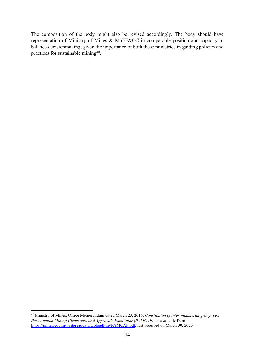The composition of the body might also be revised accordingly. The body should have representation of Ministry of Mines & MoEF&CC in comparable position and capacity to balance decisionmaking, given the importance of both these ministries in guiding policies and practices for sustainable mining<sup>40</sup>.

<sup>40</sup> Ministry of Mines, Office Memorandum dated March 23, 2016, *Constitution of inter-ministerial group, i.e., Post-Auction Mining Clearances and Approvals Facilitator (PAMCAF)*, as available from https://mines.gov.in/writereaddata/UploadFile/PAMCAF.pdf, last accessed on March 30, 2020